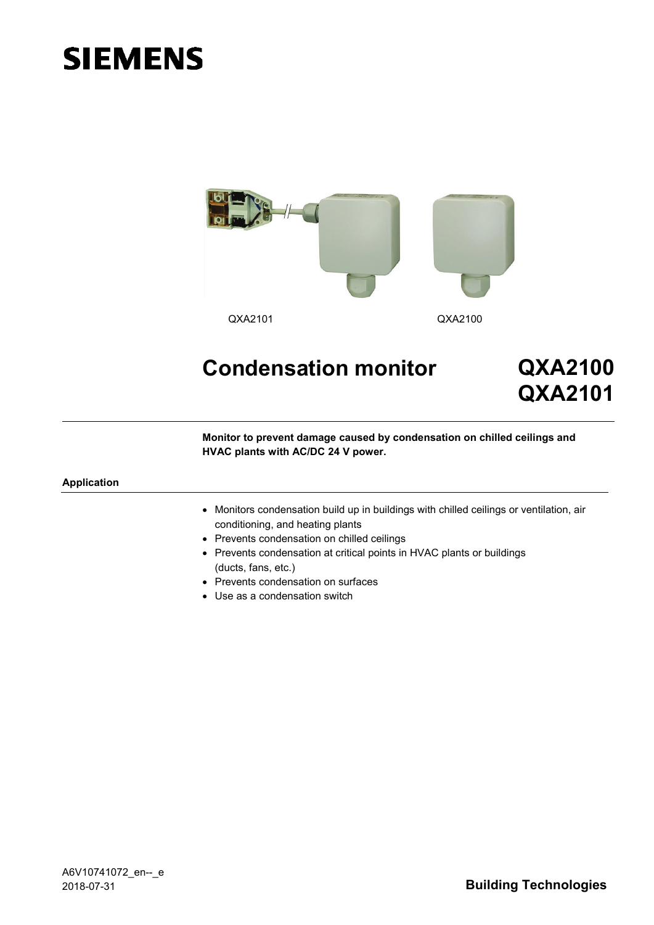# **SIEMENS**



# **Condensation monitor QXA2100**

**QXA2101**

**Monitor to prevent damage caused by condensation on chilled ceilings and HVAC plants with AC/DC 24 V power.**

#### **Application**

- Monitors condensation build up in buildings with chilled ceilings or ventilation, air conditioning, and heating plants
- Prevents condensation on chilled ceilings
- Prevents condensation at critical points in HVAC plants or buildings (ducts, fans, etc.)
- Prevents condensation on surfaces
- Use as a condensation switch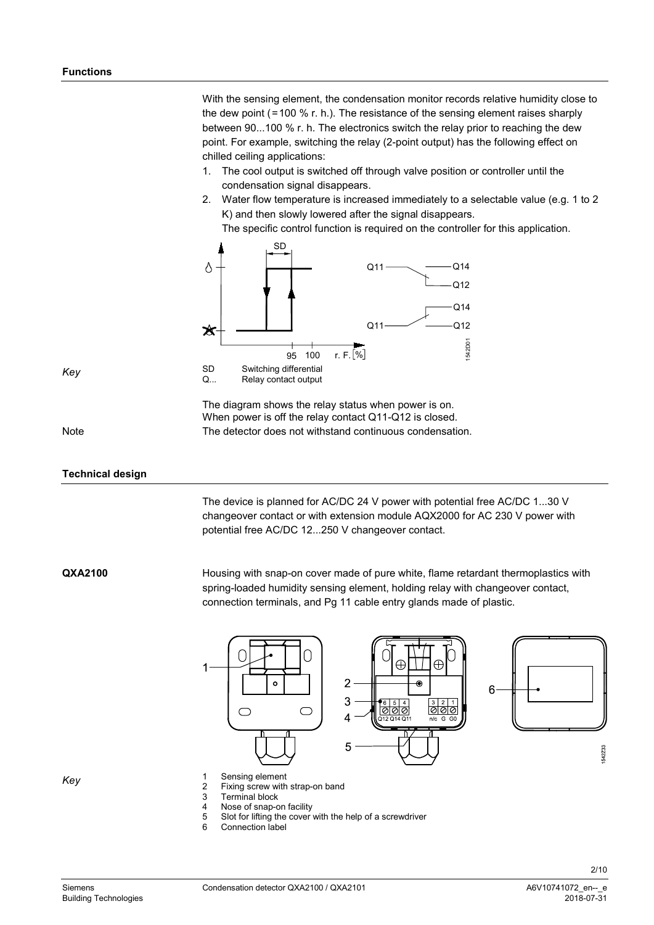With the sensing element, the condensation monitor records relative humidity close to the dew point (=100 % r. h.). The resistance of the sensing element raises sharply between 90...100 % r. h. The electronics switch the relay prior to reaching the dew point. For example, switching the relay (2-point output) has the following effect on chilled ceiling applications:

- 1. The cool output is switched off through valve position or controller until the condensation signal disappears.
- 2. Water flow temperature is increased immediately to a selectable value (e.g. 1 to 2 K) and then slowly lowered after the signal disappears.

The specific control function is required on the controller for this application.



The diagram shows the relay status when power is on. When power is off the relay contact Q11-Q12 is closed. The detector does not withstand continuous condensation.

Note

*Key*

## **Technical design**

The device is planned for AC/DC 24 V power with potential free AC/DC 1...30 V changeover contact or with extension module AQX2000 for AC 230 V power with potential free AC/DC 12...250 V changeover contact.

**QXA2100**

Housing with snap-on cover made of pure white, flame retardant thermoplastics with spring-loaded humidity sensing element, holding relay with changeover contact, connection terminals, and Pg 11 cable entry glands made of plastic.



*Key*

2 Fixing screw with strap-on band<br>3 Terminal block

Terminal block

- 
- 4 Nose of snap-on facility<br>5 Slot for lifting the cover 5 Slot for lifting the cover with the help of a screwdriver
- Connection label

542Z33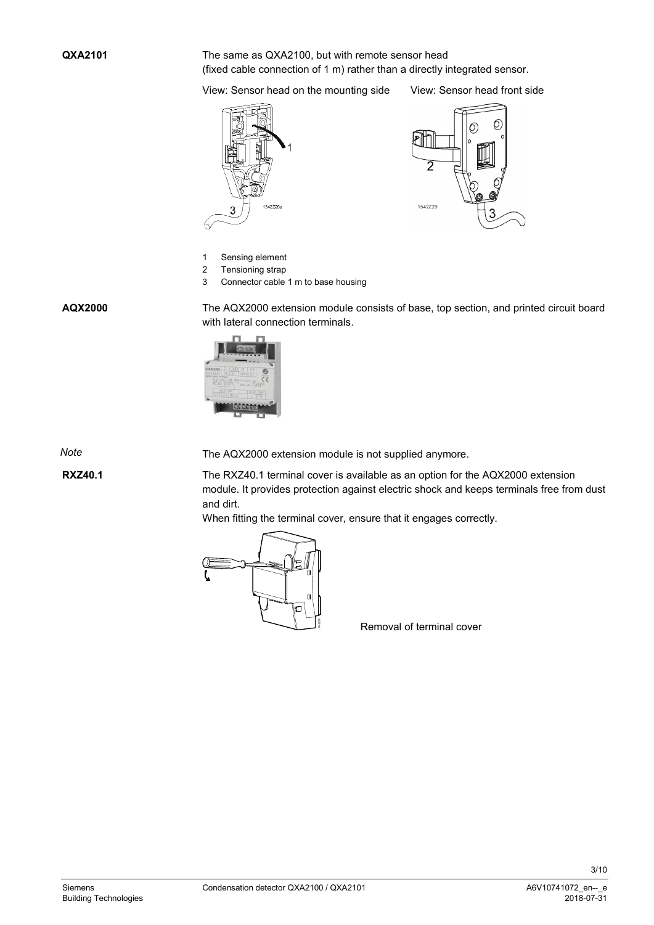The same as QXA2100, but with remote sensor head (fixed cable connection of 1 m) rather than a directly integrated sensor.

View: Sensor head on the mounting side View: Sensor head front side

542Z26



- 1 Sensing element
- 2 Tensioning strap
- 3 Connector cable 1 m to base housing

**AQX2000**

The AQX2000 extension module consists of base, top section, and printed circuit board with lateral connection terminals.



*Note*

The AQX2000 extension module is not supplied anymore.

**RXZ40.1**

The RXZ40.1 terminal cover is available as an option for the AQX2000 extension module. It provides protection against electric shock and keeps terminals free from dust and dirt.

When fitting the terminal cover, ensure that it engages correctly.



Removal of terminal cover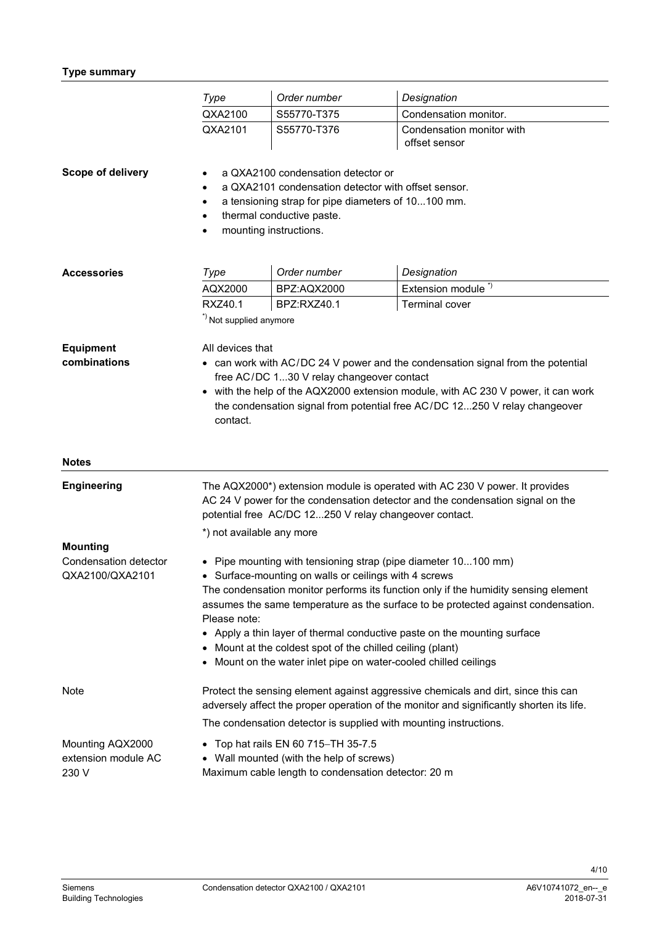# **Type summary**

|                                                             | Type                                                                                                                                                                                                                                                                                                                                                                                                                                                                                                                          | Order number | Designation                                |  |
|-------------------------------------------------------------|-------------------------------------------------------------------------------------------------------------------------------------------------------------------------------------------------------------------------------------------------------------------------------------------------------------------------------------------------------------------------------------------------------------------------------------------------------------------------------------------------------------------------------|--------------|--------------------------------------------|--|
|                                                             | QXA2100                                                                                                                                                                                                                                                                                                                                                                                                                                                                                                                       | S55770-T375  | Condensation monitor.                      |  |
|                                                             | QXA2101                                                                                                                                                                                                                                                                                                                                                                                                                                                                                                                       | S55770-T376  | Condensation monitor with<br>offset sensor |  |
| Scope of delivery                                           | a QXA2100 condensation detector or<br>a QXA2101 condensation detector with offset sensor.<br>a tensioning strap for pipe diameters of 10100 mm.<br>٠<br>thermal conductive paste.<br>mounting instructions.                                                                                                                                                                                                                                                                                                                   |              |                                            |  |
| <b>Accessories</b>                                          | Type                                                                                                                                                                                                                                                                                                                                                                                                                                                                                                                          | Order number | Designation                                |  |
|                                                             | AQX2000                                                                                                                                                                                                                                                                                                                                                                                                                                                                                                                       | BPZ:AQX2000  | Extension module <sup>*)</sup>             |  |
|                                                             | RXZ40.1<br>*) Not supplied anymore                                                                                                                                                                                                                                                                                                                                                                                                                                                                                            | BPZ:RXZ40.1  | <b>Terminal cover</b>                      |  |
| <b>Equipment</b><br>combinations                            | All devices that<br>can work with AC/DC 24 V power and the condensation signal from the potential<br>free AC/DC 130 V relay changeover contact<br>with the help of the AQX2000 extension module, with AC 230 V power, it can work<br>the condensation signal from potential free AC/DC 12250 V relay changeover<br>contact.                                                                                                                                                                                                   |              |                                            |  |
| <b>Notes</b>                                                |                                                                                                                                                                                                                                                                                                                                                                                                                                                                                                                               |              |                                            |  |
| <b>Engineering</b>                                          | The AQX2000*) extension module is operated with AC 230 V power. It provides<br>AC 24 V power for the condensation detector and the condensation signal on the<br>potential free AC/DC 12250 V relay changeover contact.<br>*) not available any more                                                                                                                                                                                                                                                                          |              |                                            |  |
| <b>Mounting</b><br>Condensation detector<br>QXA2100/QXA2101 | • Pipe mounting with tensioning strap (pipe diameter 10100 mm)<br>• Surface-mounting on walls or ceilings with 4 screws<br>The condensation monitor performs its function only if the humidity sensing element<br>assumes the same temperature as the surface to be protected against condensation.<br>Please note:<br>• Apply a thin layer of thermal conductive paste on the mounting surface<br>Mount at the coldest spot of the chilled ceiling (plant)<br>Mount on the water inlet pipe on water-cooled chilled ceilings |              |                                            |  |
| Note                                                        | Protect the sensing element against aggressive chemicals and dirt, since this can<br>adversely affect the proper operation of the monitor and significantly shorten its life.<br>The condensation detector is supplied with mounting instructions.                                                                                                                                                                                                                                                                            |              |                                            |  |
| Mounting AQX2000<br>extension module AC<br>230 V            | Top hat rails EN 60 715-TH 35-7.5<br>$\bullet$<br>Wall mounted (with the help of screws)<br>$\bullet$<br>Maximum cable length to condensation detector: 20 m                                                                                                                                                                                                                                                                                                                                                                  |              |                                            |  |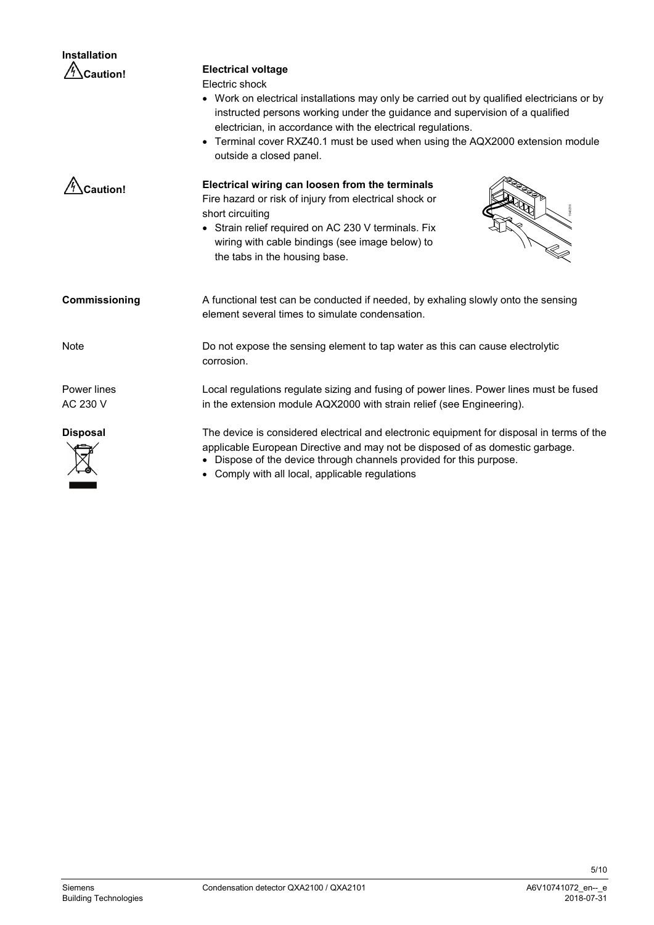| <b>Installation</b>     |                                                                                                                                                                                                                                                                                                                                                                                                               |  |  |
|-------------------------|---------------------------------------------------------------------------------------------------------------------------------------------------------------------------------------------------------------------------------------------------------------------------------------------------------------------------------------------------------------------------------------------------------------|--|--|
| <b>Caution!</b>         | <b>Electrical voltage</b><br>Electric shock<br>Work on electrical installations may only be carried out by qualified electricians or by<br>instructed persons working under the guidance and supervision of a qualified<br>electrician, in accordance with the electrical regulations.<br>Terminal cover RXZ40.1 must be used when using the AQX2000 extension module<br>$\bullet$<br>outside a closed panel. |  |  |
| Caution!                | Electrical wiring can loosen from the terminals<br>Fire hazard or risk of injury from electrical shock or<br>short circuiting<br>• Strain relief required on AC 230 V terminals. Fix<br>wiring with cable bindings (see image below) to<br>the tabs in the housing base.                                                                                                                                      |  |  |
| Commissioning           | A functional test can be conducted if needed, by exhaling slowly onto the sensing<br>element several times to simulate condensation.                                                                                                                                                                                                                                                                          |  |  |
| <b>Note</b>             | Do not expose the sensing element to tap water as this can cause electrolytic<br>corrosion.                                                                                                                                                                                                                                                                                                                   |  |  |
| Power lines<br>AC 230 V | Local regulations regulate sizing and fusing of power lines. Power lines must be fused<br>in the extension module AQX2000 with strain relief (see Engineering).                                                                                                                                                                                                                                               |  |  |
| <b>Disposal</b>         | The device is considered electrical and electronic equipment for disposal in terms of the<br>applicable European Directive and may not be disposed of as domestic garbage.<br>Dispose of the device through channels provided for this purpose.<br>Comply with all local applicable requisitions                                                                                                              |  |  |

• Comply with all local, applicable regulations

л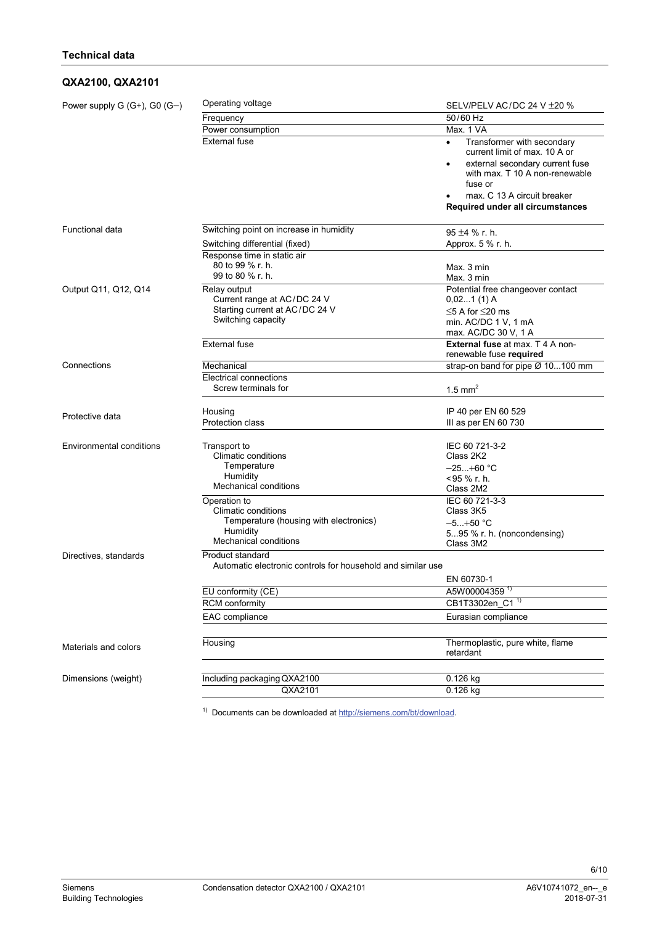# **QXA2100, QXA2101**

| Power supply $G(G+), G(0(G-))$  | Operating voltage                                                               | SELV/PELV AC/DC 24 V $\pm$ 20 %                                                                                                                          |  |  |  |
|---------------------------------|---------------------------------------------------------------------------------|----------------------------------------------------------------------------------------------------------------------------------------------------------|--|--|--|
|                                 | Frequency                                                                       | 50/60 Hz                                                                                                                                                 |  |  |  |
|                                 | Power consumption                                                               | Max. 1 VA                                                                                                                                                |  |  |  |
|                                 | <b>External fuse</b>                                                            | Transformer with secondary<br>current limit of max. 10 A or<br>external secondary current fuse<br>$\bullet$<br>with max. T 10 A non-renewable<br>fuse or |  |  |  |
|                                 |                                                                                 | max. C 13 A circuit breaker                                                                                                                              |  |  |  |
|                                 |                                                                                 | Required under all circumstances                                                                                                                         |  |  |  |
| Functional data                 | Switching point on increase in humidity                                         | $95 + 4$ % r. h.                                                                                                                                         |  |  |  |
|                                 | Switching differential (fixed)                                                  | Approx. 5 % r. h.                                                                                                                                        |  |  |  |
|                                 | Response time in static air                                                     |                                                                                                                                                          |  |  |  |
|                                 | 80 to 99 % r. h.                                                                | Max. 3 min                                                                                                                                               |  |  |  |
|                                 | 99 to 80 % r. h.                                                                | Max. 3 min                                                                                                                                               |  |  |  |
| Output Q11, Q12, Q14            | Relay output                                                                    | Potential free changeover contact                                                                                                                        |  |  |  |
|                                 | Current range at AC/DC 24 V<br>Starting current at AC/DC 24 V                   | $0,021(1)$ A                                                                                                                                             |  |  |  |
|                                 | Switching capacity                                                              | $\leq$ 5 A for $\leq$ 20 ms<br>min. AC/DC 1 V, 1 mA                                                                                                      |  |  |  |
|                                 |                                                                                 | max. AC/DC 30 V, 1 A                                                                                                                                     |  |  |  |
|                                 | <b>External fuse</b>                                                            | <b>External fuse at max. T 4 A non-</b>                                                                                                                  |  |  |  |
|                                 |                                                                                 | renewable fuse required                                                                                                                                  |  |  |  |
| Connections                     | Mechanical                                                                      | strap-on band for pipe Ø 10100 mm                                                                                                                        |  |  |  |
|                                 | <b>Electrical connections</b>                                                   |                                                                                                                                                          |  |  |  |
|                                 | Screw terminals for                                                             | $1.5$ mm <sup>2</sup>                                                                                                                                    |  |  |  |
|                                 | Housing                                                                         | IP 40 per EN 60 529                                                                                                                                      |  |  |  |
| Protective data                 | <b>Protection class</b>                                                         | III as per EN 60 730                                                                                                                                     |  |  |  |
|                                 |                                                                                 |                                                                                                                                                          |  |  |  |
| <b>Environmental conditions</b> | Transport to                                                                    | IEC 60 721-3-2                                                                                                                                           |  |  |  |
|                                 | Climatic conditions                                                             | Class 2K2                                                                                                                                                |  |  |  |
|                                 | Temperature                                                                     | $-25+60$ °C                                                                                                                                              |  |  |  |
|                                 | Humidity<br><b>Mechanical conditions</b>                                        | $<$ 95 % r. h.                                                                                                                                           |  |  |  |
|                                 |                                                                                 | Class 2M2<br>IEC 60 721-3-3                                                                                                                              |  |  |  |
|                                 | Operation to<br>Climatic conditions                                             | Class 3K5                                                                                                                                                |  |  |  |
|                                 | Temperature (housing with electronics)                                          | $-5+50$ °C                                                                                                                                               |  |  |  |
|                                 | Humidity                                                                        | 595 % r. h. (noncondensing)                                                                                                                              |  |  |  |
|                                 | <b>Mechanical conditions</b>                                                    | Class 3M2                                                                                                                                                |  |  |  |
| Directives, standards           | Product standard<br>Automatic electronic controls for household and similar use |                                                                                                                                                          |  |  |  |
|                                 | EN 60730-1                                                                      |                                                                                                                                                          |  |  |  |
|                                 | EU conformity (CE)                                                              |                                                                                                                                                          |  |  |  |
|                                 | <b>RCM</b> conformity                                                           | A5W00004359<br>CB1T3302en_C1 1                                                                                                                           |  |  |  |
|                                 | EAC compliance                                                                  | Eurasian compliance                                                                                                                                      |  |  |  |
|                                 |                                                                                 |                                                                                                                                                          |  |  |  |
|                                 | Housing                                                                         | Thermoplastic, pure white, flame                                                                                                                         |  |  |  |
| Materials and colors            |                                                                                 | retardant                                                                                                                                                |  |  |  |
|                                 |                                                                                 |                                                                                                                                                          |  |  |  |
| Dimensions (weight)             | Including packaging QXA2100                                                     | $0.126$ kg                                                                                                                                               |  |  |  |
|                                 | QXA2101                                                                         | 0.126 kg                                                                                                                                                 |  |  |  |

<sup>1)</sup> Documents can be downloaded a[t http://siemens.com/bt/download.](http://siemens.com/bt/download)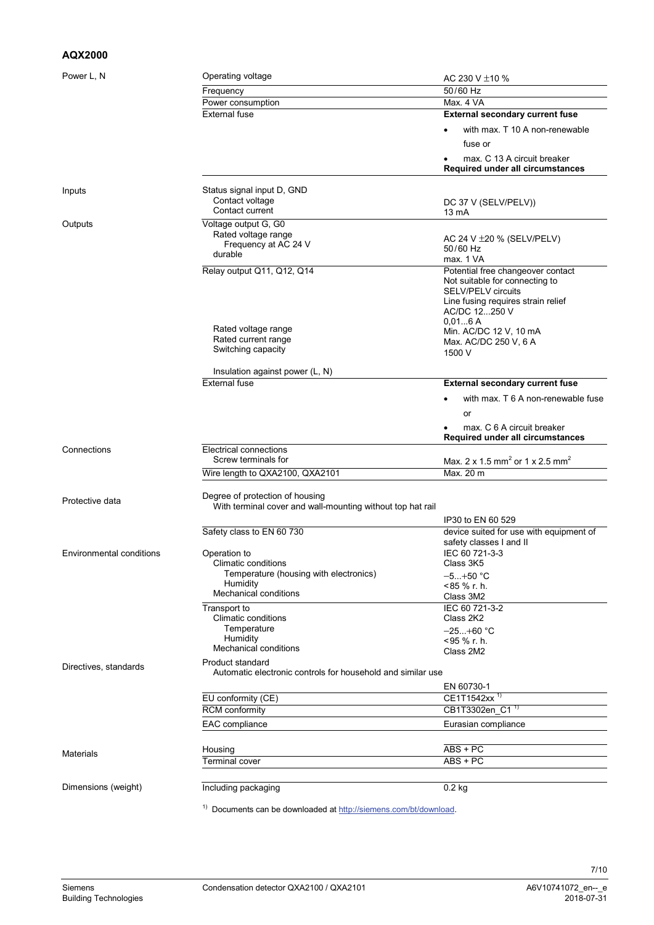# **AQX2000**

| Power L, N                      | Operating voltage                                                                      | AC 230 V $\pm$ 10 %                                                |  |  |
|---------------------------------|----------------------------------------------------------------------------------------|--------------------------------------------------------------------|--|--|
|                                 | Frequency                                                                              | 50/60 Hz                                                           |  |  |
|                                 | Power consumption                                                                      | Max. 4 VA                                                          |  |  |
|                                 | <b>External fuse</b>                                                                   | <b>External secondary current fuse</b>                             |  |  |
|                                 |                                                                                        | with max. T 10 A non-renewable                                     |  |  |
|                                 |                                                                                        |                                                                    |  |  |
|                                 |                                                                                        | fuse or                                                            |  |  |
|                                 |                                                                                        | max. C 13 A circuit breaker<br>Required under all circumstances    |  |  |
|                                 |                                                                                        |                                                                    |  |  |
| Inputs                          | Status signal input D, GND                                                             |                                                                    |  |  |
|                                 | Contact voltage                                                                        | DC 37 V (SELV/PELV))                                               |  |  |
|                                 | Contact current                                                                        | 13 mA                                                              |  |  |
| Outputs                         | Voltage output G, G0                                                                   |                                                                    |  |  |
|                                 | Rated voltage range                                                                    | AC 24 V $\pm$ 20 % (SELV/PELV)                                     |  |  |
|                                 | Frequency at AC 24 V                                                                   | 50/60 Hz                                                           |  |  |
|                                 | durable                                                                                | max. 1 VA                                                          |  |  |
|                                 | Relay output Q11, Q12, Q14                                                             | Potential free changeover contact                                  |  |  |
|                                 |                                                                                        | Not suitable for connecting to                                     |  |  |
|                                 |                                                                                        | <b>SELV/PELV circuits</b>                                          |  |  |
|                                 |                                                                                        | Line fusing requires strain relief                                 |  |  |
|                                 |                                                                                        | AC/DC 12250 V<br>0.016A                                            |  |  |
|                                 | Rated voltage range                                                                    | Min. AC/DC 12 V, 10 mA                                             |  |  |
|                                 | Rated current range                                                                    | Max. AC/DC 250 V, 6 A                                              |  |  |
|                                 | Switching capacity                                                                     | 1500 V                                                             |  |  |
|                                 | Insulation against power (L, N)                                                        |                                                                    |  |  |
|                                 | <b>External fuse</b>                                                                   | <b>External secondary current fuse</b>                             |  |  |
|                                 |                                                                                        | with max. T 6 A non-renewable fuse                                 |  |  |
|                                 |                                                                                        | or                                                                 |  |  |
|                                 |                                                                                        | max. C 6 A circuit breaker<br>Required under all circumstances     |  |  |
| Connections                     | Electrical connections                                                                 |                                                                    |  |  |
|                                 | Screw terminals for                                                                    | Max. 2 x 1.5 mm <sup>2</sup> or 1 x 2.5 mm <sup>2</sup>            |  |  |
|                                 | Wire length to QXA2100, QXA2101                                                        | Max. 20 m                                                          |  |  |
|                                 | Degree of protection of housing                                                        |                                                                    |  |  |
| Protective data                 | With terminal cover and wall-mounting without top hat rail                             |                                                                    |  |  |
|                                 |                                                                                        |                                                                    |  |  |
|                                 |                                                                                        | IP30 to EN 60 529                                                  |  |  |
|                                 | Safety class to EN 60 730                                                              | device suited for use with equipment of<br>safety classes I and II |  |  |
| <b>Environmental conditions</b> | Operation to                                                                           | IEC 60 721-3-3                                                     |  |  |
|                                 | Climatic conditions                                                                    | Class 3K5                                                          |  |  |
|                                 | Temperature (housing with electronics)                                                 | –5…+50 °C                                                          |  |  |
|                                 | Humidity                                                                               | <85 % r. h.                                                        |  |  |
|                                 | Mechanical conditions                                                                  | Class 3M2                                                          |  |  |
|                                 | Transport to                                                                           | IEC 60 721-3-2                                                     |  |  |
|                                 | Climatic conditions                                                                    | Class 2K2                                                          |  |  |
|                                 | Temperature                                                                            | $-25+60$ °C                                                        |  |  |
|                                 | Humidity                                                                               | <95 % r. h.                                                        |  |  |
|                                 | Mechanical conditions                                                                  | Class 2M2                                                          |  |  |
| Directives, standards           | <b>Product standard</b><br>Automatic electronic controls for household and similar use |                                                                    |  |  |
|                                 |                                                                                        | EN 60730-1                                                         |  |  |
|                                 | EU conformity (CE)                                                                     | CE1T1542xx <sup>1</sup>                                            |  |  |
|                                 | <b>RCM</b> conformity                                                                  | CB1T3302en_C1 <sup>1)</sup>                                        |  |  |
|                                 |                                                                                        |                                                                    |  |  |
|                                 | EAC compliance                                                                         | Eurasian compliance                                                |  |  |
|                                 | Housing                                                                                | $ABS + PC$                                                         |  |  |
| Materials                       | <b>Terminal cover</b>                                                                  | $ABS + PC$                                                         |  |  |
|                                 |                                                                                        |                                                                    |  |  |
| Dimensions (weight)             | Including packaging                                                                    | $0.2$ kg                                                           |  |  |
|                                 |                                                                                        |                                                                    |  |  |
|                                 | <sup>1)</sup> Documents can be downloaded at http://siemens.com/bt/download.           |                                                                    |  |  |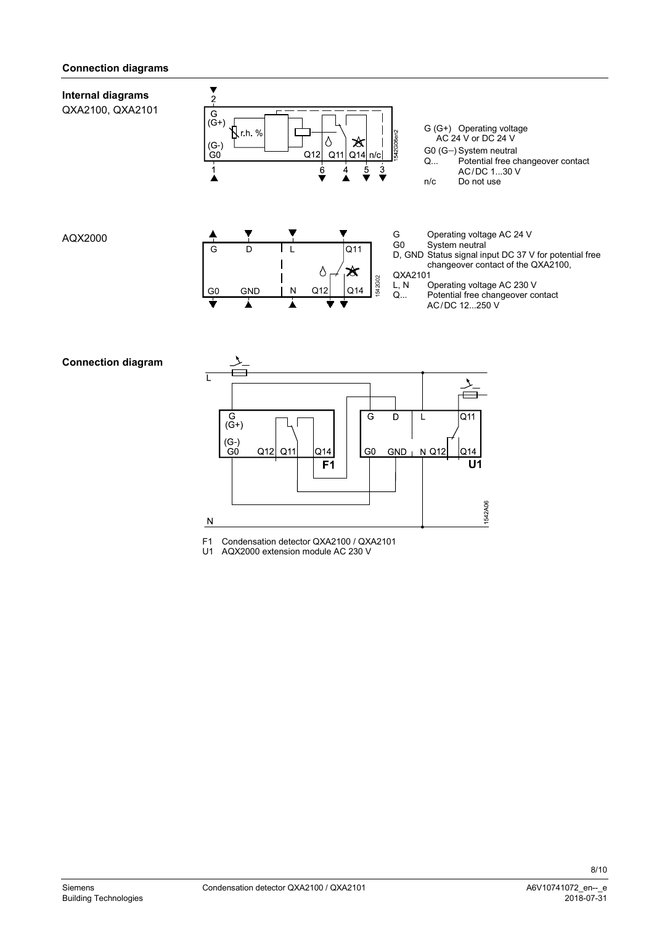### **Connection diagrams**

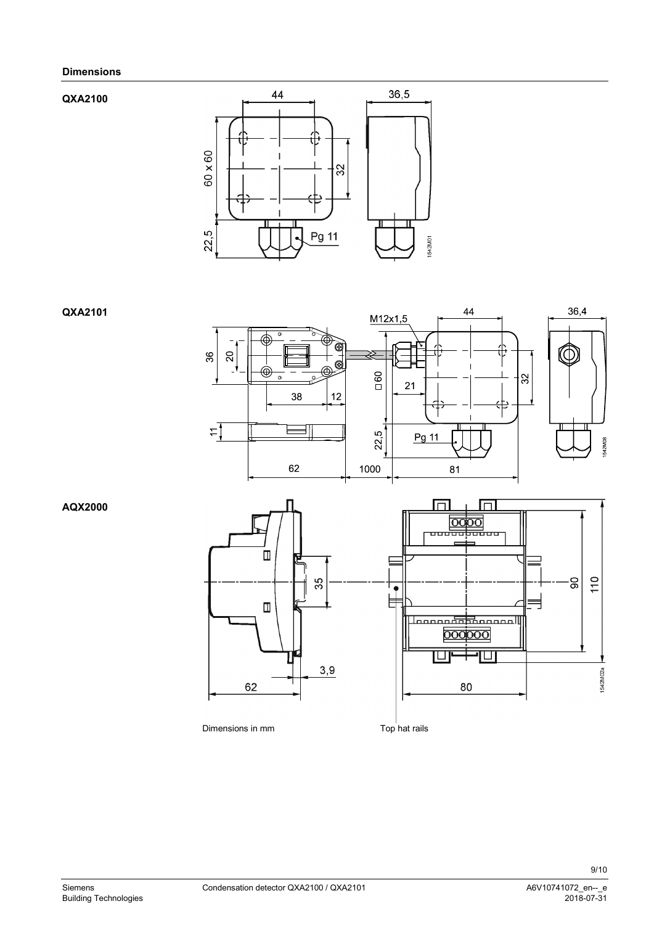#### **Dimensions**

#### **QXA2100**



**QXA2101**



**AQX2000**





Dimensions in mm Top hat rails